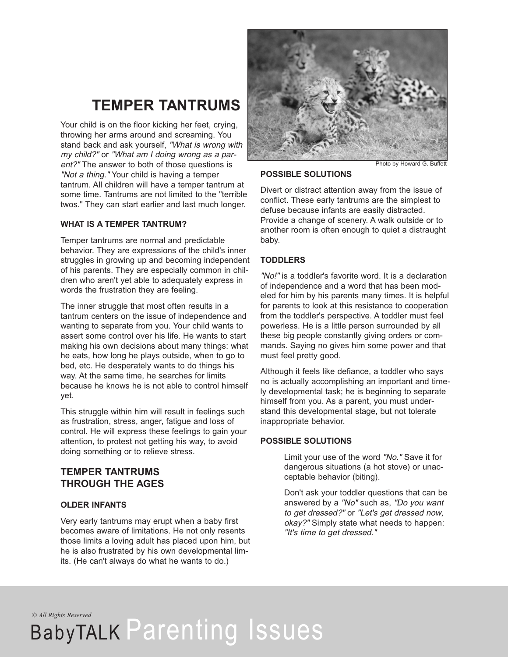### **TEMPER TANTRUMS**

Your child is on the floor kicking her feet, crying, throwing her arms around and screaming. You stand back and ask yourself, "What is wrong with my child?" or "What am I doing wrong as <sup>a</sup> parent?" The answer to both of those questions is "Not <sup>a</sup> thing." Your child is having a temper tantrum. All children will have a temper tantrum at some time. Tantrums are not limited to the "terrible twos." They can start earlier and last much longer.

### **WHAT IS A TEMPER TANTRUM?**

Temper tantrums are normal and predictable behavior. They are expressions of the child's inner struggles in growing up and becoming independent of his parents. They are especially common in children who aren't yet able to adequately express in words the frustration they are feeling.

The inner struggle that most often results in a tantrum centers on the issue of independence and wanting to separate from you. Your child wants to assert some control over his life. He wants to start making his own decisions about many things: what he eats, how long he plays outside, when to go to bed, etc. He desperately wants to do things his way. At the same time, he searches for limits because he knows he is not able to control himself yet.

This struggle within him will result in feelings such as frustration, stress, anger, fatigue and loss of control. He will express these feelings to gain your attention, to protest not getting his way, to avoid doing something or to relieve stress.

### **TEMPER TANTRUMS THROUGH THE AGES**

### **OLDER INFANTS**

Very early tantrums may erupt when a baby first becomes aware of limitations. He not only resents those limits a loving adult has placed upon him, but he is also frustrated by his own developmental limits. (He can't always do what he wants to do.)



Photo by Howard G. Buffett

#### **POSSIBLE SOLUTIONS**

Divert or distract attention away from the issue of conflict. These early tantrums are the simplest to defuse because infants are easily distracted. Provide a change of scenery. A walk outside or to another room is often enough to quiet a distraught baby.

### **TODDLERS**

"No!" is a toddler's favorite word. It is a declaration of independence and a word that has been modeled for him by his parents many times. It is helpful for parents to look at this resistance to cooperation from the toddler's perspective. A toddler must feel powerless. He is a little person surrounded by all these big people constantly giving orders or commands. Saying no gives him some power and that must feel pretty good.

Although it feels like defiance, a toddler who says no is actually accomplishing an important and timely developmental task; he is beginning to separate himself from you. As a parent, you must understand this developmental stage, but not tolerate inappropriate behavior.

#### **POSSIBLE SOLUTIONS**

Limit your use of the word "No." Save it for dangerous situations (a hot stove) or unacceptable behavior (biting).

Don't ask your toddler questions that can be answered by a "No" such as, "Do you want to get dressed?" or "Let's get dressed now, okay?" Simply state what needs to happen: "It's time to get dressed."

*© All Rights Reserved*

## BabyTALK Parenting Issues